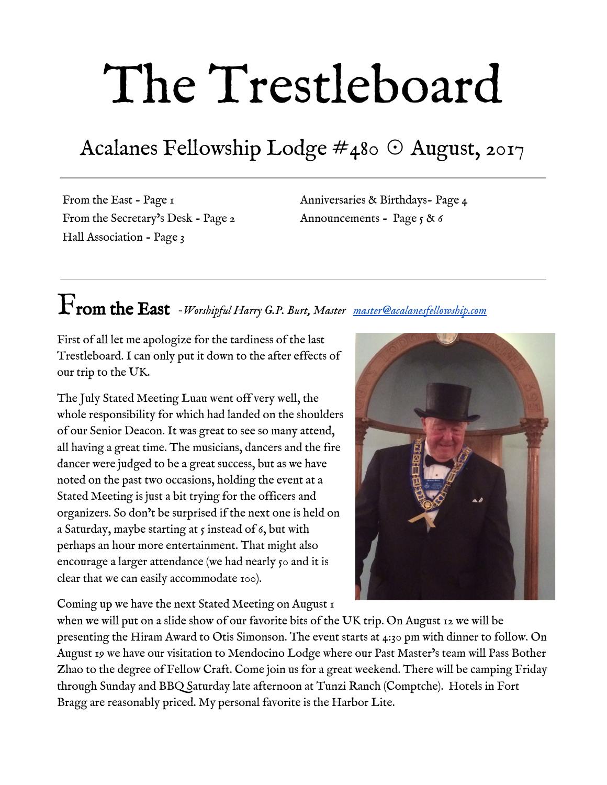# The Trestleboard

## Acalanes Fellowship Lodge #480 ☉ August, 2017

From the East - Page 1 From the Secretary's Desk - Page 2 Hall Association - Page 3

Anniversaries & Birthdays- Page 4 Announcements - Page 5 & 6

## From the East *-Worshipful Harry G.P. Burt, Master [master@acalanesfellowship.com](mailto:master@acalanesfellowship.com)*

First of all let me apologize for the tardiness of the last Trestleboard. I can only put it down to the after effects of our trip to the UK.

The July Stated Meeting Luau went off very well, the whole responsibility for which had landed on the shoulders of our Senior Deacon. It was great to see so many attend, all having a great time. The musicians, dancers and the fire dancer were judged to be a great success, but as we have noted on the past two occasions, holding the event at a Stated Meeting is just a bit trying for the officers and organizers. So don't be surprised if the next one is held on a Saturday, maybe starting at  $\varsigma$  instead of  $\varsigma$ , but with perhaps an hour more entertainment. That might also encourage a larger attendance (we had nearly  $\zeta$  and it is clear that we can easily accommodate 100).

Coming up we have the next Stated Meeting on August 1



when we will put on a slide show of our favorite bits of the UK trip. On August 12 we will be presenting the Hiram Award to Otis Simonson. The event starts at 4:30 pm with dinner to follow. On August 19 we have our visitation to Mendocino Lodge where our Past Master's team will Pass Bother Zhao to the degree of Fellow Craft. Come join us for a great weekend. There will be camping Friday through Sunday and BBQ Saturday late afternoon at Tunzi Ranch (Comptche). Hotels in Fort Bragg are reasonably priced. My personal favorite is the Harbor Lite.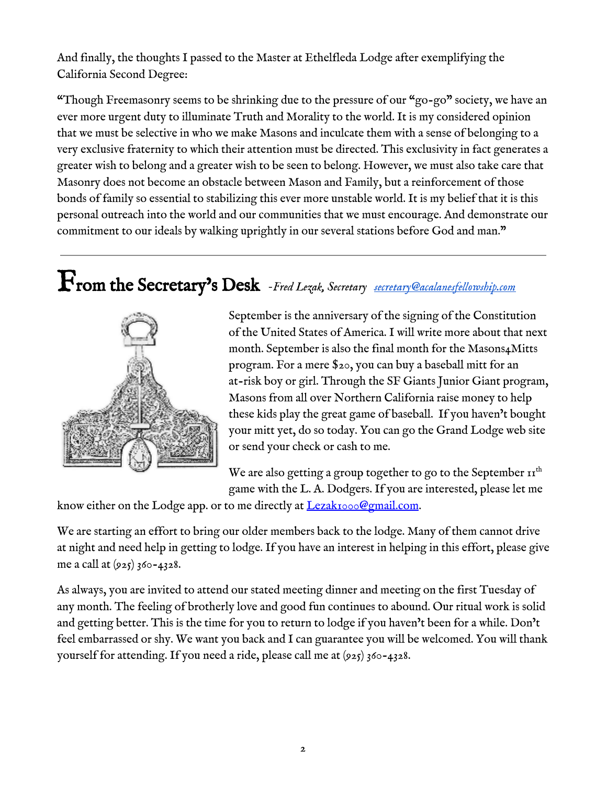And finally, the thoughts I passed to the Master at Ethelfleda Lodge after exemplifying the California Second Degree:

"Though Freemasonry seems to be shrinking due to the pressure of our "go-go" society, we have an ever more urgent duty to illuminate Truth and Morality to the world. It is my considered opinion that we must be selective in who we make Masons and inculcate them with a sense of belonging to a very exclusive fraternity to which their attention must be directed. This exclusivity in fact generates a greater wish to belong and a greater wish to be seen to belong. However, we must also take care that Masonry does not become an obstacle between Mason and Family, but a reinforcement of those bonds of family so essential to stabilizing this ever more unstable world. It is my belief that it is this personal outreach into the world and our communities that we must encourage. And demonstrate our commitment to our ideals by walking uprightly in our several stations before God and man."

## From the Secretary's Desk *-Fred Lezak, Secretary [secretary@acalanesfellowship.com](mailto:secretary@acalanesfellowship.com)*



September is the anniversary of the signing of the Constitution of the United States of America. I will write more about that next month. September is also the final month for the Masons4Mitts program. For a mere \$20, you can buy a baseball mitt for an at-risk boy or girl. Through the SF Giants Junior Giant program, Masons from all over Northern California raise money to help these kids play the great game of baseball. If you haven't bought your mitt yet, do so today. You can go the Grand Lodge web site or send your check or cash to me.

We are also getting a group together to go to the September  $\mathbf{H}^{\text{th}}$ game with the L. A. Dodgers. If you are interested, please let me

know either on the Lodge app. or to me directly at [Lezak1000@gmail.com.](mailto:Lezak1000@gmail.com)

We are starting an effort to bring our older members back to the lodge. Many of them cannot drive at night and need help in getting to lodge. If you have an interest in helping in this effort, please give me a call at (925) 360-4328.

As always, you are invited to attend our stated meeting dinner and meeting on the first Tuesday of any month. The feeling of brotherly love and good fun continues to abound. Our ritual work is solid and getting better. This is the time for you to return to lodge if you haven't been for a while. Don't feel embarrassed or shy. We want you back and I can guarantee you will be welcomed. You will thank yourself for attending. If you need a ride, please call me at (925) 360-4328.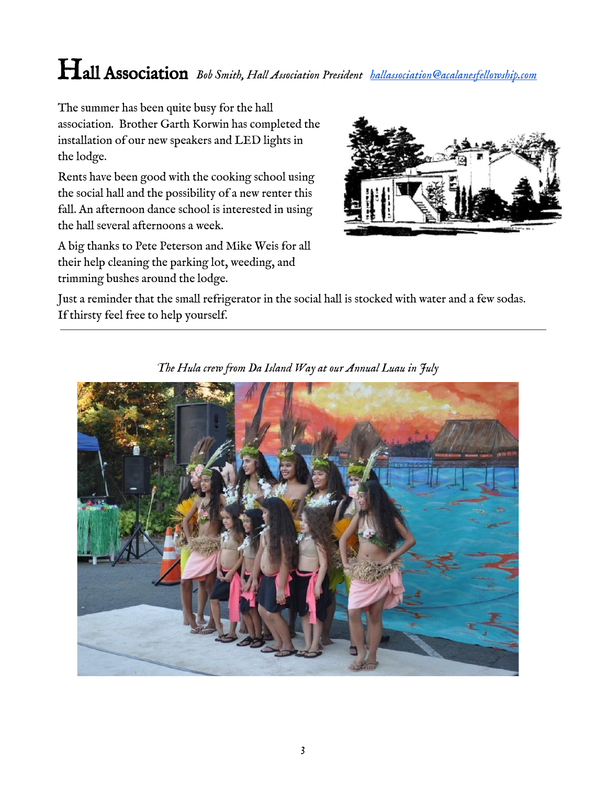## Hall Association *Bob Smith, Hall Association President [hallassociation@acalanesfellowship.com](mailto:hallassociation@acalanesfellowship.com)*

The summer has been quite busy for the hall association. Brother Garth Korwin has completed the installation of our new speakers and LED lights in the lodge.

Rents have been good with the cooking school using the social hall and the possibility of a new renter this fall. An afternoon dance school is interested in using the hall several afternoons a week.

A big thanks to Pete Peterson and Mike Weis for all their help cleaning the parking lot, weeding, and trimming bushes around the lodge.



Just a reminder that the small refrigerator in the social hall is stocked with water and a few sodas. If thirsty feel free to help yourself.



*The Hula crew from Da Island Way at our Annual Luau in July*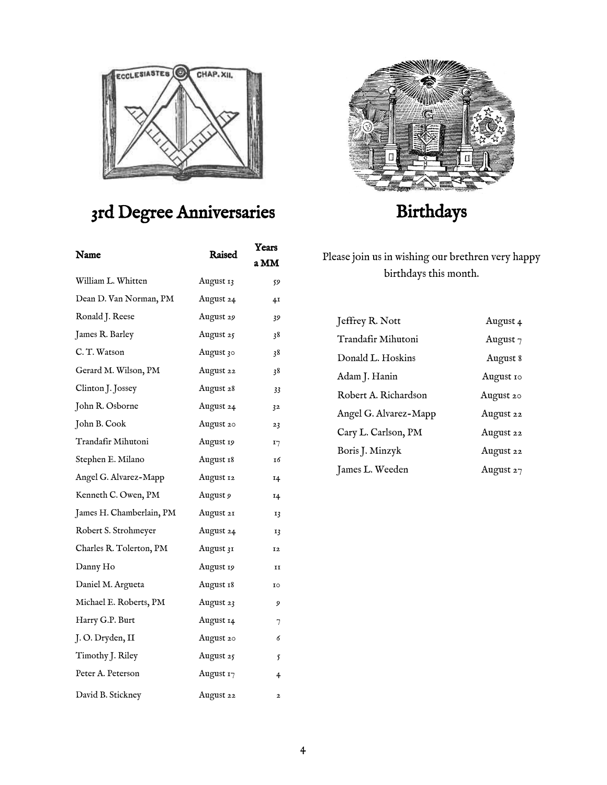

## 3rd Degree Anniversaries

| Name                     | Raised    | Years<br>a MM  |
|--------------------------|-----------|----------------|
| William L. Whitten       | August 13 | 59             |
| Dean D. Van Norman, PM   | August 24 | 4 <sub>I</sub> |
| Ronald J. Reese          | August 29 | 39             |
| James R. Barley          | August 25 | 38             |
| C.T. Watson              | August 30 | 38             |
| Gerard M. Wilson, PM     | August 22 | 38             |
| Clinton J. Jossey        | August 28 | 33             |
| John R. Osborne          | August 24 | 32             |
| John B. Cook             | August 20 | 23             |
| Trandafir Mihutoni       | August 19 | I7             |
| Stephen E. Milano        | August 18 | 16             |
| Angel G. Alvarez-Mapp    | August 12 | 14             |
| Kenneth C. Owen, PM      | August 9  | 14             |
| James H. Chamberlain, PM | August 21 | 13             |
| Robert S. Strohmeyer     | August 24 | 13             |
| Charles R. Tolerton, PM  | August 31 | 12             |
| Danny Ho                 | August 19 | II             |
| Daniel M. Argueta        | August 18 | 10             |
| Michael E. Roberts, PM   | August 23 | 9              |
| Harry G.P. Burt          | August 14 | 7              |
| J.O. Dryden, II          | August 20 | 6              |
| Timothy J. Riley         | August 25 | 5              |
| Peter A. Peterson        | August 17 | 4              |
| David B. Stickney        | August 22 | $\overline{2}$ |



## Birthdays

Please join us in wishing our brethren very happy birthdays this month.

| Jeffrey R. Nott       | August 4    |
|-----------------------|-------------|
| Trandafir Mihutoni    | August $7$  |
| Donald L. Hoskins     | August 8    |
| Adam J. Hanin         | August 10   |
| Robert A. Richardson  | August 20   |
| Angel G. Alvarez-Mapp | August 22   |
| Cary L. Carlson, PM   | August 22   |
| Boris J. Minzyk       | August 22   |
| James L. Weeden       | August $27$ |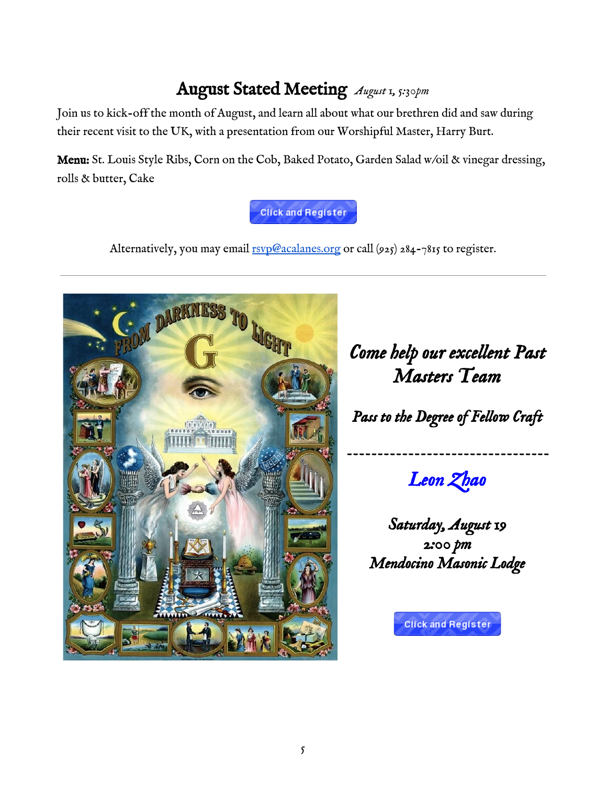### August Stated Meeting *August 1, 5:30pm*

Join us to kick-off the month of August, and learn all about what our brethren did and saw during their recent visit to the UK, with a presentation from our Worshipful Master, Harry Burt.

Menu: St. Louis Style Ribs, Corn on the Cob, Baked Potato, Garden Salad w/oil & vinegar dressing, rolls & butter, Cake

#### **Click and Register**

Alternatively, you may email [rsvp@acalanes.org](mailto:rsvp@acalanes.org) or call (925) 284-7815 to register.



## *Come help our excellent Past Masters Team*

*Pass to the Degree of Fellow Craft* 

*Leon Zhao* 

*Saturday, August 19 2:00 pm Mendocino Masonic Lodge* 

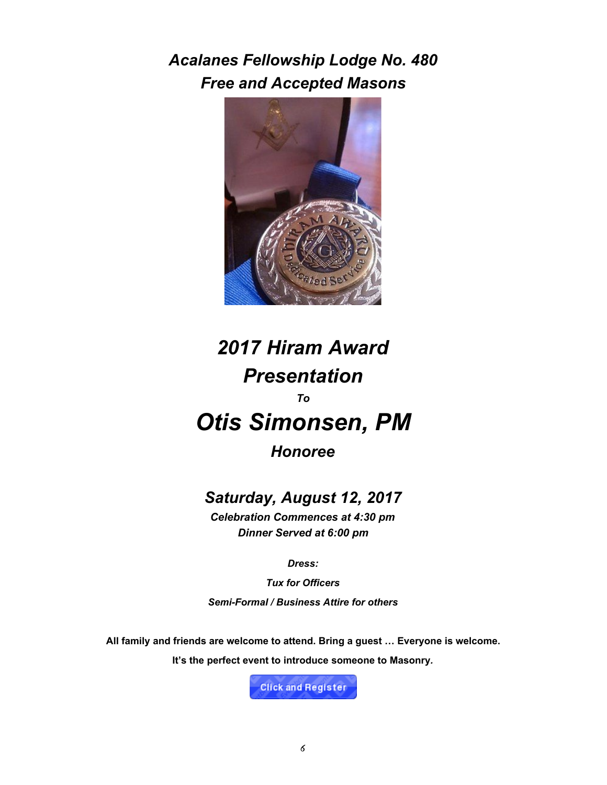*Acalanes Fellowship Lodge No. 480 Free and Accepted Masons*



## *2017 Hiram Award Presentation To Otis Simonsen, PM*

*Honoree*

#### *Saturday, August 12, 2017*

*Celebration Commences at 4:30 pm Dinner Served at 6:00 pm*

*Dress:*

*Tux for Officers Semi-Formal / Business Attire for others*

**All family and friends are welcome to attend. Bring a guest … Everyone is welcome.**

**It's the perfect event to introduce someone to Masonry***.*

**Click and Register**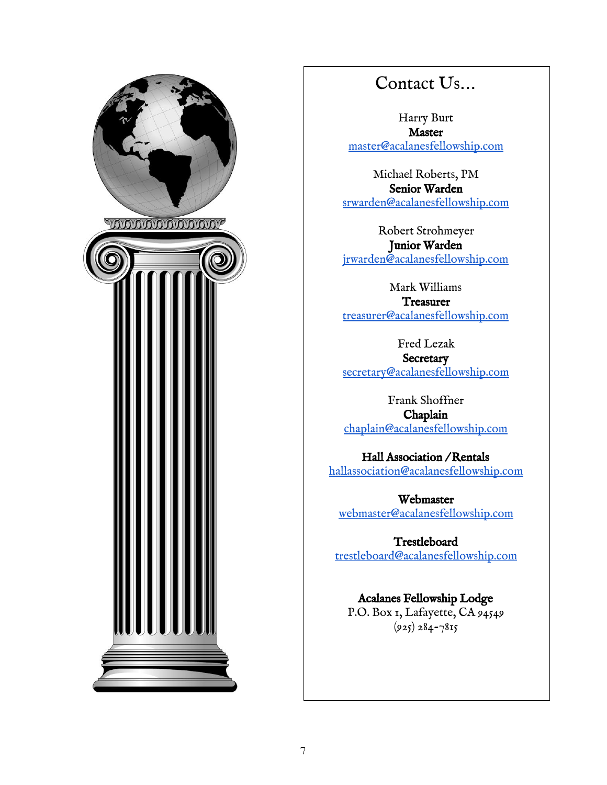

#### Contact Us…

Harry Burt **Master** [master@acalanesfellowship.com](mailto:master@acalanesfellowship.com)

Michael Roberts, PM Senior Warden [srwarden@acalanesfellowship.com](mailto:srwarden@acalanesfellowship.com)

Robert Strohmeyer Junior Warden [jrwarden@acalanesfellowship.com](mailto:jrwarden@acalanesfellowship.com)

Mark Williams **Treasurer** [treasurer@acalanesfellowship.com](mailto:treasurer@acalanesfellowship.com)

Fred Lezak **Secretary** [secretary@acalanesfellowship.com](mailto:secretary@acalanesfellowship.com)

Frank Shoffner Chaplain [chaplain@acalanesfellowship.com](mailto:chaplain@acalanesfellowship.com)

Hall Association / Rentals [hallassociation@acalanesfellowship.com](mailto:hallassociation@acalanesfellowship.com)

Webmaster [webmaster@acalanesfellowship.com](mailto:webmaster@acalanesfellowship.com)

Trestleboard [trestleboard@acalanesfellowship.com](mailto:trestleboard@acalanesfellowship.com)

Acalanes Fellowship Lodge P.O. Box 1, Lafayette, CA 94549  $(925) 284 - 7815$